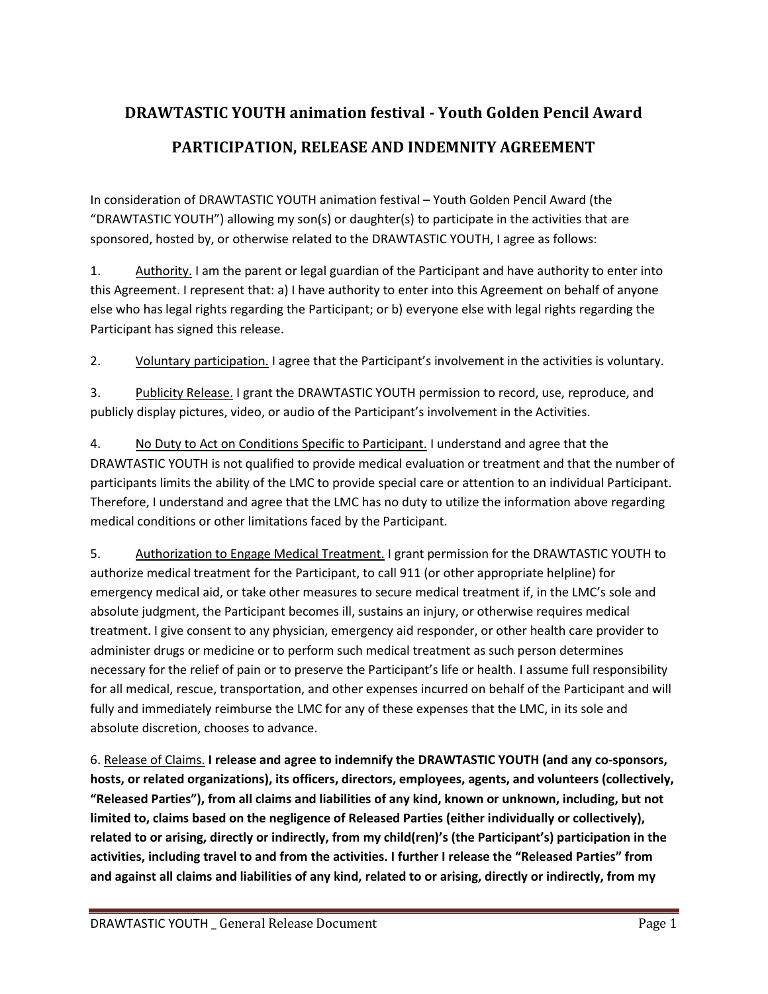## **DRAWTASTIC YOUTH animation festival - Youth Golden Pencil Award PARTICIPATION, RELEASE AND INDEMNITY AGREEMENT**

In consideration of DRAWTASTIC YOUTH animation festival – Youth Golden Pencil Award (the "DRAWTASTIC YOUTH") allowing my son(s) or daughter(s) to participate in the activities that are sponsored, hosted by, or otherwise related to the DRAWTASTIC YOUTH, I agree as follows:

1. Authority. I am the parent or legal guardian of the Participant and have authority to enter into this Agreement. I represent that: a) I have authority to enter into this Agreement on behalf of anyone else who has legal rights regarding the Participant; or b) everyone else with legal rights regarding the Participant has signed this release.

2. Voluntary participation. I agree that the Participant's involvement in the activities is voluntary.

3. Publicity Release. I grant the DRAWTASTIC YOUTH permission to record, use, reproduce, and publicly display pictures, video, or audio of the Participant's involvement in the Activities.

4. No Duty to Act on Conditions Specific to Participant. I understand and agree that the DRAWTASTIC YOUTH is not qualified to provide medical evaluation or treatment and that the number of participants limits the ability of the LMC to provide special care or attention to an individual Participant. Therefore, I understand and agree that the LMC has no duty to utilize the information above regarding medical conditions or other limitations faced by the Participant.

5. Authorization to Engage Medical Treatment. I grant permission for the DRAWTASTIC YOUTH to authorize medical treatment for the Participant, to call 911 (or other appropriate helpline) for emergency medical aid, or take other measures to secure medical treatment if, in the LMC's sole and absolute judgment, the Participant becomes ill, sustains an injury, or otherwise requires medical treatment. I give consent to any physician, emergency aid responder, or other health care provider to administer drugs or medicine or to perform such medical treatment as such person determines necessary for the relief of pain or to preserve the Participant's life or health. I assume full responsibility for all medical, rescue, transportation, and other expenses incurred on behalf of the Participant and will fully and immediately reimburse the LMC for any of these expenses that the LMC, in its sole and absolute discretion, chooses to advance.

6. Release of Claims. **I release and agree to indemnify the DRAWTASTIC YOUTH (and any co-sponsors, hosts, or related organizations), its officers, directors, employees, agents, and volunteers (collectively, "Released Parties"), from all claims and liabilities of any kind, known or unknown, including, but not limited to, claims based on the negligence of Released Parties (either individually or collectively), related to or arising, directly or indirectly, from my child(ren)'s (the Participant's) participation in the activities, including travel to and from the activities. I further I release the "Released Parties" from and against all claims and liabilities of any kind, related to or arising, directly or indirectly, from my**